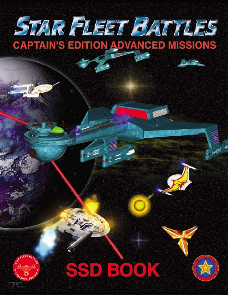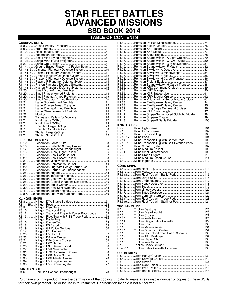# **STAR FLEET BATTLES ADVANCED MISSIONS SSD BOOK 2014**

## **TABLE OF CONTENTS**

| R <sub>2.18</sub> .                               | .36 |
|---------------------------------------------------|-----|
| R2.19                                             | .37 |
| R <sub>2.20</sub>                                 | .38 |
| R2.21                                             | .39 |
| R2.31                                             | .40 |
| R <sub>2.22</sub>                                 | .41 |
| .Federation Carrier Pod (Independent)42<br>R2.22. |     |
| $R2.25$                                           | .43 |
| R <sub>2.26</sub>                                 | .44 |
| R2.27                                             | .45 |
| R2.28Federation Guided Weapons Destroyer          | .46 |
|                                                   | .47 |
|                                                   | .48 |
|                                                   | .49 |
| R2.8 & R2.9 Federation Tug (with Starliner Pod)   | .50 |
|                                                   |     |

**KLINGON SHIPS**

|                      | R3.12Klingon Transport Tug with Power Boost pods55 |  |
|----------------------|----------------------------------------------------|--|
|                      | R3.13Klingon Fleet Tug with P-T3 Troop Pods56      |  |
|                      |                                                    |  |
|                      |                                                    |  |
|                      |                                                    |  |
|                      |                                                    |  |
|                      |                                                    |  |
|                      |                                                    |  |
|                      |                                                    |  |
|                      |                                                    |  |
|                      |                                                    |  |
|                      |                                                    |  |
|                      |                                                    |  |
|                      |                                                    |  |
|                      |                                                    |  |
|                      |                                                    |  |
|                      |                                                    |  |
|                      |                                                    |  |
| <b>ROMULAN SHIPS</b> |                                                    |  |
|                      |                                                    |  |

R4.6.............Romulan Condor Dreadnought........................................73

|                     | R4.14Romulan SparrowHawk-A Light Cruiser79              |  |
|---------------------|---------------------------------------------------------|--|
|                     |                                                         |  |
|                     | R4.17Romulan SparrowHawk-D Minesweeper81                |  |
|                     |                                                         |  |
|                     |                                                         |  |
|                     | R4.24Romulan SkyHawk-D Minesweeper84                    |  |
|                     |                                                         |  |
|                     | R4.28Romulan SkyHawk-H Cargo Transport86                |  |
|                     |                                                         |  |
|                     | R4.31Romulan SparrowHawk-H Cargo Transport88            |  |
|                     |                                                         |  |
|                     |                                                         |  |
|                     |                                                         |  |
|                     |                                                         |  |
|                     |                                                         |  |
|                     | R4.37Romulan KillerHawk-K Super-Heavy Cruiser 93        |  |
|                     | R4.38Romulan FireHawk-A Heavy Cruiser94                 |  |
|                     | R4.38Romulan FireHawk-K Heavy Cruiser 95                |  |
|                     | R4.39Romulan King Eagle Command Cruiser 96              |  |
|                     |                                                         |  |
|                     | R4.41Romulan Snipe-S+ Improved Sublight Frigate98       |  |
|                     |                                                         |  |
|                     |                                                         |  |
|                     |                                                         |  |
| <b>KZINTI SHIPS</b> |                                                         |  |
|                     |                                                         |  |
|                     |                                                         |  |
|                     |                                                         |  |
|                     |                                                         |  |
|                     |                                                         |  |
|                     | R5.14Kzinti Transport Tug with Carrier Pods 105         |  |
|                     | R5.12+16Kzinti Transport Tug with Self-Defense Pods 106 |  |
|                     |                                                         |  |
|                     |                                                         |  |
|                     |                                                         |  |
|                     |                                                         |  |
|                     |                                                         |  |
|                     |                                                         |  |
|                     |                                                         |  |
|                     |                                                         |  |
| <b>GORN SHIPS</b>   |                                                         |  |
|                     |                                                         |  |
|                     |                                                         |  |
|                     |                                                         |  |
|                     |                                                         |  |
|                     |                                                         |  |
|                     |                                                         |  |
|                     |                                                         |  |
|                     |                                                         |  |
|                     |                                                         |  |
|                     |                                                         |  |
|                     |                                                         |  |
|                     |                                                         |  |
|                     | R6.5+9 Gorn Fleet Tug with Starliner Pod 124            |  |
| THOLIAN SHIPS       |                                                         |  |
|                     |                                                         |  |
|                     |                                                         |  |
|                     |                                                         |  |
|                     |                                                         |  |
|                     |                                                         |  |
|                     |                                                         |  |
|                     |                                                         |  |
|                     |                                                         |  |
|                     |                                                         |  |
|                     | R7.16Tholian Disruptor-Armed Patrol Corvette 133        |  |
|                     |                                                         |  |
|                     |                                                         |  |
|                     |                                                         |  |
|                     |                                                         |  |
|                     |                                                         |  |
|                     |                                                         |  |
| <b>ORION SHIPS</b>  |                                                         |  |
|                     |                                                         |  |
|                     |                                                         |  |
|                     |                                                         |  |
|                     |                                                         |  |
|                     |                                                         |  |

#### Purchasers of this product have the permission of the copyright holder to make a reasonable number of copies of these SSDs for their own personal use or for use in tournaments. Reproduction for sale is not authorized.